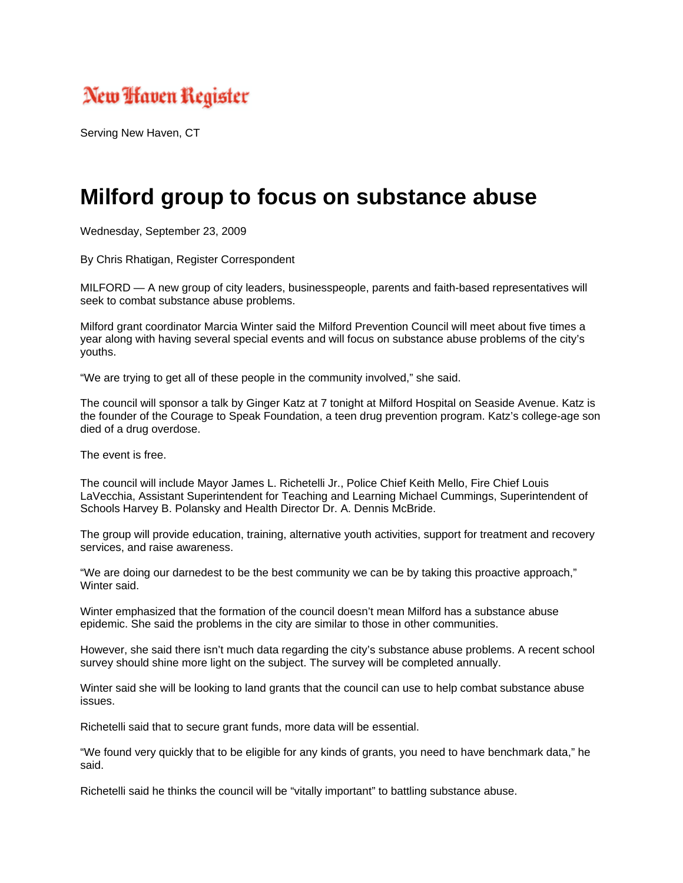## New Haven Register

Serving New Haven, CT

## **Milford group to focus on substance abuse**

Wednesday, September 23, 2009

By Chris Rhatigan, Register Correspondent

MILFORD — A new group of city leaders, businesspeople, parents and faith-based representatives will seek to combat substance abuse problems.

Milford grant coordinator Marcia Winter said the Milford Prevention Council will meet about five times a year along with having several special events and will focus on substance abuse problems of the city's youths.

"We are trying to get all of these people in the community involved," she said.

The council will sponsor a talk by Ginger Katz at 7 tonight at Milford Hospital on Seaside Avenue. Katz is the founder of the Courage to Speak Foundation, a teen drug prevention program. Katz's college-age son died of a drug overdose.

The event is free.

The council will include Mayor James L. Richetelli Jr., Police Chief Keith Mello, Fire Chief Louis LaVecchia, Assistant Superintendent for Teaching and Learning Michael Cummings, Superintendent of Schools Harvey B. Polansky and Health Director Dr. A. Dennis McBride.

The group will provide education, training, alternative youth activities, support for treatment and recovery services, and raise awareness.

"We are doing our darnedest to be the best community we can be by taking this proactive approach," Winter said.

Winter emphasized that the formation of the council doesn't mean Milford has a substance abuse epidemic. She said the problems in the city are similar to those in other communities.

However, she said there isn't much data regarding the city's substance abuse problems. A recent school survey should shine more light on the subject. The survey will be completed annually.

Winter said she will be looking to land grants that the council can use to help combat substance abuse issues.

Richetelli said that to secure grant funds, more data will be essential.

"We found very quickly that to be eligible for any kinds of grants, you need to have benchmark data," he said.

Richetelli said he thinks the council will be "vitally important" to battling substance abuse.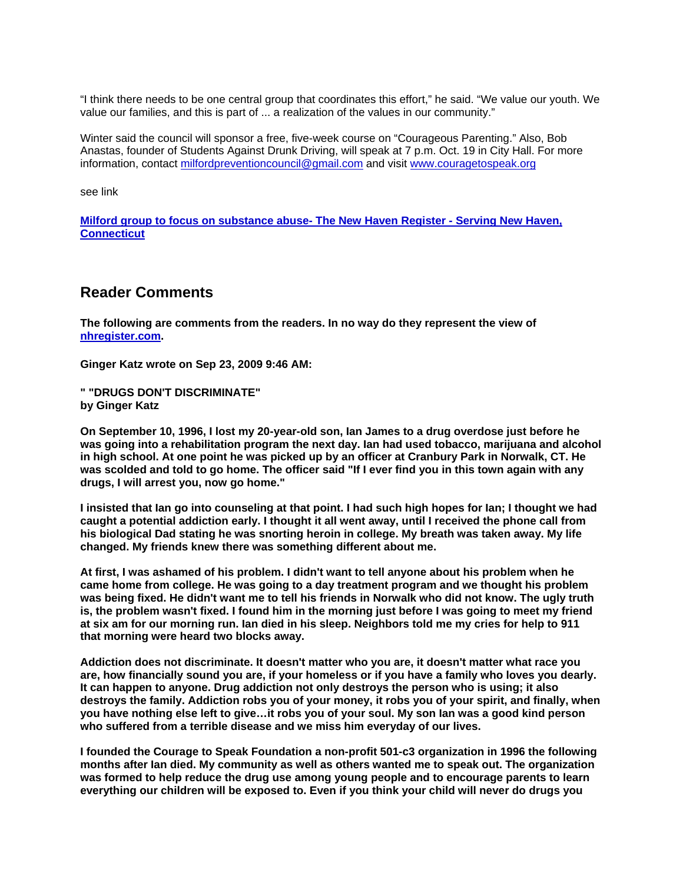"I think there needs to be one central group that coordinates this effort," he said. "We value our youth. We value our families, and this is part of ... a realization of the values in our community."

Winter said the council will sponsor a free, five-week course on "Courageous Parenting." Also, Bob Anastas, founder of Students Against Drunk Driving, will speak at 7 p.m. Oct. 19 in City Hall. For more information, contact [milfordpreventioncouncil@gmail.com](mailto:milfordpreventioncouncil@gmail.com) and visit [www.couragetospeak.org](http://www.couragetospeak.org/) 

see link

**[Milford group to focus on substance abuse- The New Haven Register - Serving New Haven,](http://www.nhregister.com/articles/2009/09/23/news/milford/b2-miteendrinking.txt)  [Connecticut](http://www.nhregister.com/articles/2009/09/23/news/milford/b2-miteendrinking.txt)** 

## **Reader Comments**

**The following are comments from the readers. In no way do they represent the view of [nhregister.com](http://nhregister.com/).**

**Ginger Katz wrote on Sep 23, 2009 9:46 AM:** 

**" "DRUGS DON'T DISCRIMINATE" by Ginger Katz** 

**On September 10, 1996, I lost my 20-year-old son, Ian James to a drug overdose just before he was going into a rehabilitation program the next day. Ian had used tobacco, marijuana and alcohol in high school. At one point he was picked up by an officer at Cranbury Park in Norwalk, CT. He was scolded and told to go home. The officer said "If I ever find you in this town again with any drugs, I will arrest you, now go home."** 

**I insisted that Ian go into counseling at that point. I had such high hopes for Ian; I thought we had caught a potential addiction early. I thought it all went away, until I received the phone call from his biological Dad stating he was snorting heroin in college. My breath was taken away. My life changed. My friends knew there was something different about me.** 

**At first, I was ashamed of his problem. I didn't want to tell anyone about his problem when he came home from college. He was going to a day treatment program and we thought his problem was being fixed. He didn't want me to tell his friends in Norwalk who did not know. The ugly truth is, the problem wasn't fixed. I found him in the morning just before I was going to meet my friend at six am for our morning run. Ian died in his sleep. Neighbors told me my cries for help to 911 that morning were heard two blocks away.** 

**Addiction does not discriminate. It doesn't matter who you are, it doesn't matter what race you are, how financially sound you are, if your homeless or if you have a family who loves you dearly. It can happen to anyone. Drug addiction not only destroys the person who is using; it also destroys the family. Addiction robs you of your money, it robs you of your spirit, and finally, when you have nothing else left to give…it robs you of your soul. My son Ian was a good kind person who suffered from a terrible disease and we miss him everyday of our lives.** 

**I founded the Courage to Speak Foundation a non-profit 501-c3 organization in 1996 the following months after Ian died. My community as well as others wanted me to speak out. The organization was formed to help reduce the drug use among young people and to encourage parents to learn everything our children will be exposed to. Even if you think your child will never do drugs you**